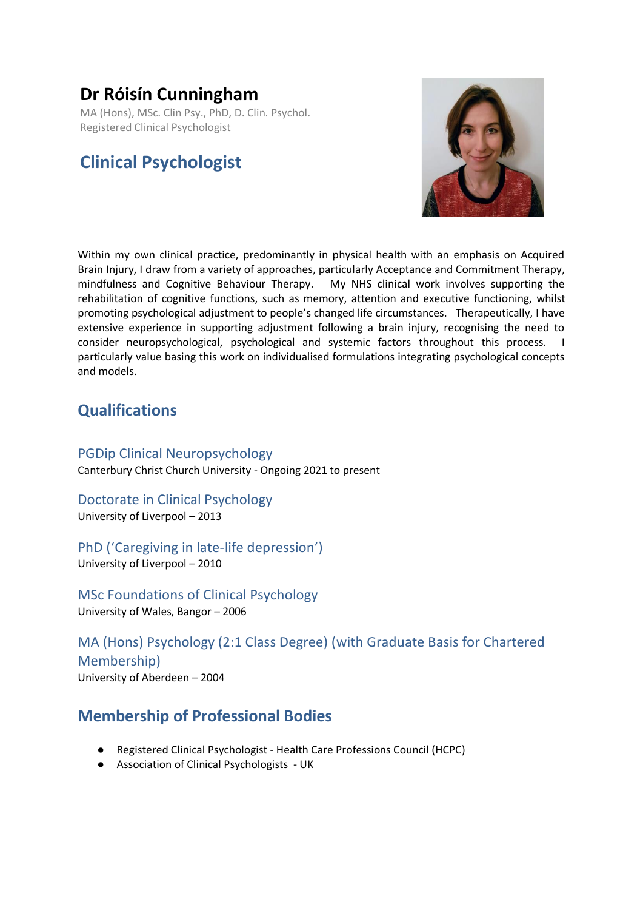# **Dr Róisín Cunningham**

MA (Hons), MSc. Clin Psy., PhD, D. Clin. Psychol. Registered Clinical Psychologist

# **Clinical Psychologist**



Within my own clinical practice, predominantly in physical health with an emphasis on Acquired Brain Injury, I draw from a variety of approaches, particularly Acceptance and Commitment Therapy, mindfulness and Cognitive Behaviour Therapy. My NHS clinical work involves supporting the rehabilitation of cognitive functions, such as memory, attention and executive functioning, whilst promoting psychological adjustment to people's changed life circumstances. Therapeutically, I have extensive experience in supporting adjustment following a brain injury, recognising the need to consider neuropsychological, psychological and systemic factors throughout this process. I particularly value basing this work on individualised formulations integrating psychological concepts and models.

# **Qualifications**

PGDip Clinical Neuropsychology Canterbury Christ Church University - Ongoing 2021 to present

Doctorate in Clinical Psychology University of Liverpool – 2013

PhD ('Caregiving in late-life depression') University of Liverpool – 2010

MSc Foundations of Clinical Psychology University of Wales, Bangor – 2006

MA (Hons) Psychology (2:1 Class Degree) (with Graduate Basis for Chartered Membership) University of Aberdeen – 2004

# **Membership of Professional Bodies**

- Registered Clinical Psychologist Health Care Professions Council (HCPC)
- Association of Clinical Psychologists UK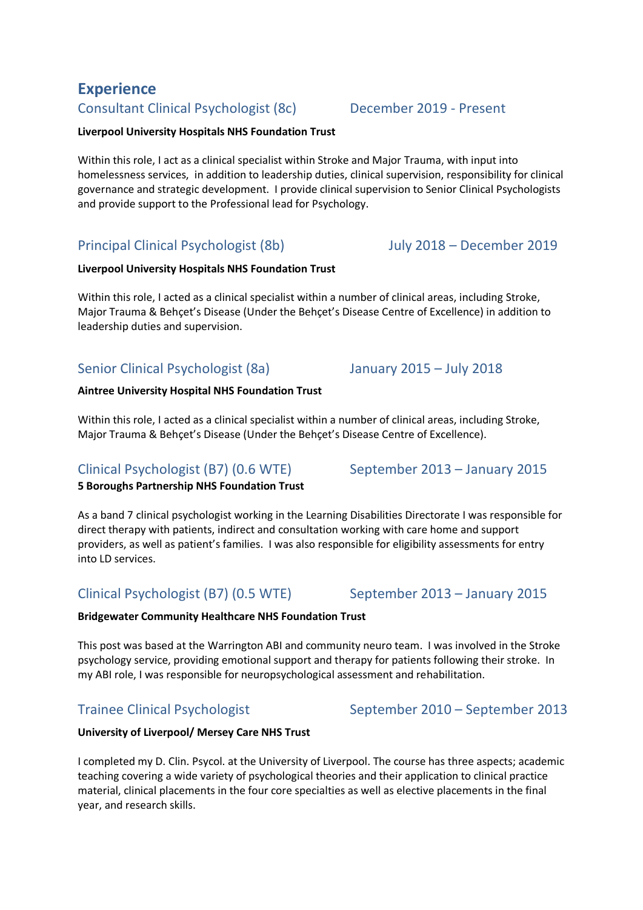# **Experience**

## Consultant Clinical Psychologist (8c) December 2019 - Present

#### **Liverpool University Hospitals NHS Foundation Trust**

Within this role, I act as a clinical specialist within Stroke and Major Trauma, with input into homelessness services, in addition to leadership duties, clinical supervision, responsibility for clinical governance and strategic development. I provide clinical supervision to Senior Clinical Psychologists and provide support to the Professional lead for Psychology.

## Principal Clinical Psychologist (8b) July 2018 – December 2019

#### **Liverpool University Hospitals NHS Foundation Trust**

Within this role, I acted as a clinical specialist within a number of clinical areas, including Stroke, Major Trauma & Behçet's Disease (Under the Behçet's Disease Centre of Excellence) in addition to leadership duties and supervision.

## Senior Clinical Psychologist (8a) January 2015 – July 2018

#### **Aintree University Hospital NHS Foundation Trust**

Within this role, I acted as a clinical specialist within a number of clinical areas, including Stroke, Major Trauma & Behçet's Disease (Under the Behçet's Disease Centre of Excellence).

# Clinical Psychologist (B7) (0.6 WTE) September 2013 – January 2015

### **5 Boroughs Partnership NHS Foundation Trust**

As a band 7 clinical psychologist working in the Learning Disabilities Directorate I was responsible for direct therapy with patients, indirect and consultation working with care home and support providers, as well as patient's families. I was also responsible for eligibility assessments for entry into LD services.

## Clinical Psychologist (B7) (0.5 WTE) September 2013 – January 2015

### **Bridgewater Community Healthcare NHS Foundation Trust**

This post was based at the Warrington ABI and community neuro team. I was involved in the Stroke psychology service, providing emotional support and therapy for patients following their stroke. In my ABI role, I was responsible for neuropsychological assessment and rehabilitation.

# Trainee Clinical Psychologist September 2010 – September 2013

#### **University of Liverpool/ Mersey Care NHS Trust**

I completed my D. Clin. Psycol. at the University of Liverpool. The course has three aspects; academic teaching covering a wide variety of psychological theories and their application to clinical practice material, clinical placements in the four core specialties as well as elective placements in the final year, and research skills.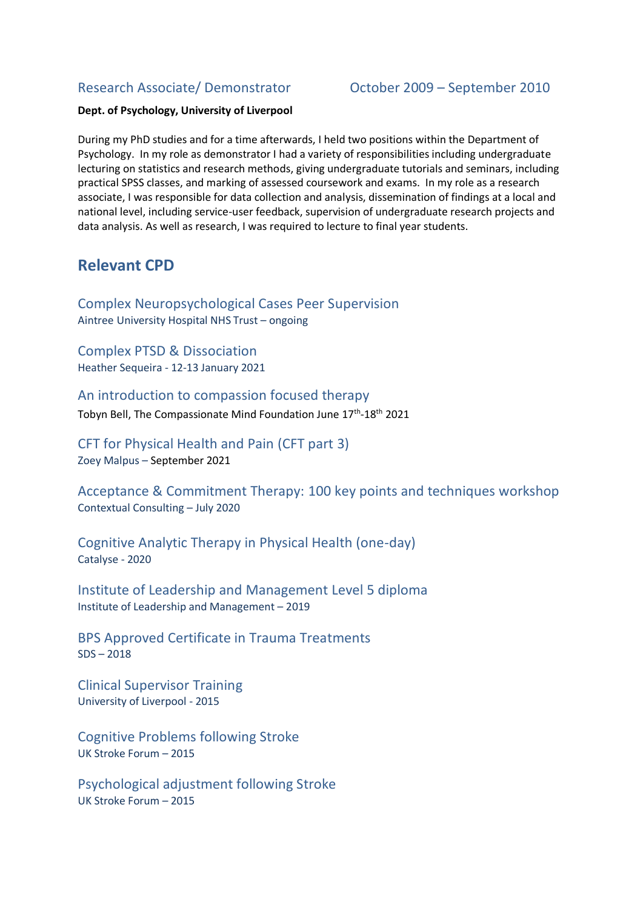### Research Associate/ Demonstrator October 2009 – September 2010

#### **Dept. of Psychology, University of Liverpool**

During my PhD studies and for a time afterwards, I held two positions within the Department of Psychology. In my role as demonstrator I had a variety of responsibilities including undergraduate lecturing on statistics and research methods, giving undergraduate tutorials and seminars, including practical SPSS classes, and marking of assessed coursework and exams. In my role as a research associate, I was responsible for data collection and analysis, dissemination of findings at a local and national level, including service-user feedback, supervision of undergraduate research projects and data analysis. As well as research, I was required to lecture to final year students.

## **Relevant CPD**

Complex Neuropsychological Cases Peer Supervision Aintree University Hospital NHS Trust – ongoing

Complex PTSD & Dissociation Heather Sequeira - 12-13 January 2021

An introduction to compassion focused therapy Tobyn Bell, The Compassionate Mind Foundation June 17<sup>th</sup>-18<sup>th</sup> 2021

CFT for Physical Health and Pain (CFT part 3) Zoey Malpus – September 2021

Acceptance & Commitment Therapy: 100 key points and techniques workshop Contextual Consulting – July 2020

Cognitive Analytic Therapy in Physical Health (one-day) Catalyse - 2020

Institute of Leadership and Management Level 5 diploma Institute of Leadership and Management – 2019

BPS Approved Certificate in Trauma Treatments SDS – 2018

Clinical Supervisor Training University of Liverpool - 2015

Cognitive Problems following Stroke UK Stroke Forum – 2015

Psychological adjustment following Stroke UK Stroke Forum – 2015